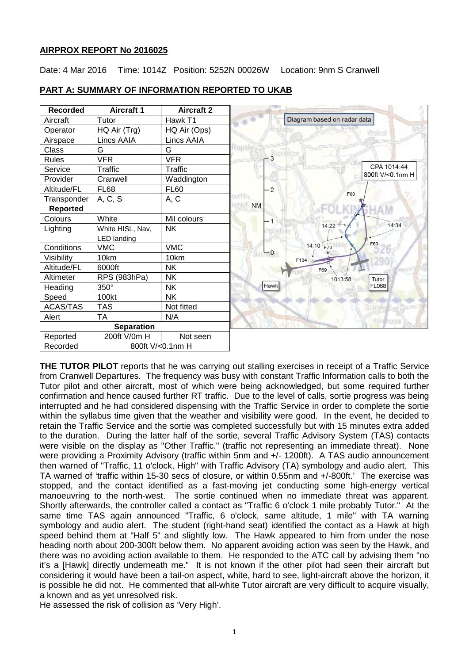# **AIRPROX REPORT No 2016025**

Date: 4 Mar 2016 Time: 1014Z Position: 5252N 00026W Location: 9nm S Cranwell



# **PART A: SUMMARY OF INFORMATION REPORTED TO UKAB**

**THE TUTOR PILOT** reports that he was carrying out stalling exercises in receipt of a Traffic Service from Cranwell Departures. The frequency was busy with constant Traffic Information calls to both the Tutor pilot and other aircraft, most of which were being acknowledged, but some required further confirmation and hence caused further RT traffic. Due to the level of calls, sortie progress was being interrupted and he had considered dispensing with the Traffic Service in order to complete the sortie within the syllabus time given that the weather and visibility were good. In the event, he decided to retain the Traffic Service and the sortie was completed successfully but with 15 minutes extra added to the duration. During the latter half of the sortie, several Traffic Advisory System (TAS) contacts were visible on the display as "Other Traffic." (traffic not representing an immediate threat). None were providing a Proximity Advisory (traffic within 5nm and +/- 1200ft). A TAS audio announcement then warned of "Traffic, 11 o'clock, High" with Traffic Advisory (TA) symbology and audio alert. This TA warned of 'traffic within 15-30 secs of closure, or within 0.55nm and +/-800ft.' The exercise was stopped, and the contact identified as a fast-moving jet conducting some high-energy vertical manoeuvring to the north-west. The sortie continued when no immediate threat was apparent. Shortly afterwards, the controller called a contact as "Traffic 6 o'clock 1 mile probably Tutor." At the same time TAS again announced "Traffic, 6 o'clock, same altitude, 1 mile" with TA warning symbology and audio alert. The student (right-hand seat) identified the contact as a Hawk at high speed behind them at "Half 5" and slightly low. The Hawk appeared to him from under the nose heading north about 200-300ft below them. No apparent avoiding action was seen by the Hawk, and there was no avoiding action available to them. He responded to the ATC call by advising them "no it's a [Hawk] directly underneath me." It is not known if the other pilot had seen their aircraft but considering it would have been a tail-on aspect, white, hard to see, light-aircraft above the horizon, it is possible he did not. He commented that all-white Tutor aircraft are very difficult to acquire visually, a known and as yet unresolved risk.

He assessed the risk of collision as 'Very High'.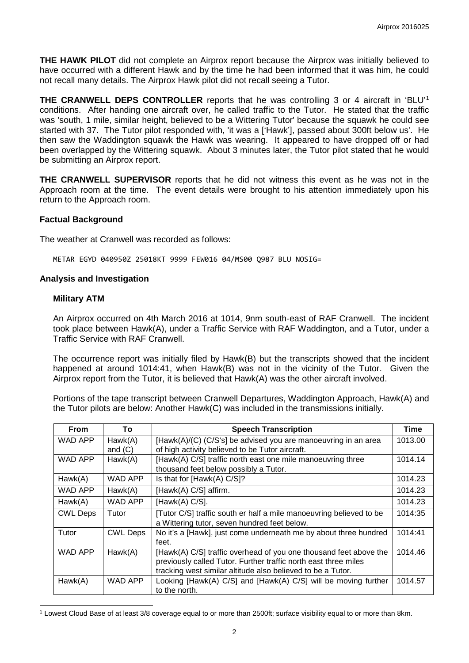**THE HAWK PILOT** did not complete an Airprox report because the Airprox was initially believed to have occurred with a different Hawk and by the time he had been informed that it was him, he could not recall many details. The Airprox Hawk pilot did not recall seeing a Tutor.

**THE CRANWELL DEPS CONTROLLER** reports that he was controlling 3 or 4 aircraft in 'BLU' [1](#page-1-0) conditions. After handing one aircraft over, he called traffic to the Tutor. He stated that the traffic was 'south, 1 mile, similar height, believed to be a Wittering Tutor' because the squawk he could see started with 37. The Tutor pilot responded with, 'it was a ['Hawk'], passed about 300ft below us'. He then saw the Waddington squawk the Hawk was wearing. It appeared to have dropped off or had been overlapped by the Wittering squawk. About 3 minutes later, the Tutor pilot stated that he would be submitting an Airprox report.

**THE CRANWELL SUPERVISOR** reports that he did not witness this event as he was not in the Approach room at the time. The event details were brought to his attention immediately upon his return to the Approach room.

## **Factual Background**

The weather at Cranwell was recorded as follows:

METAR EGYD 040950Z 25018KT 9999 FEW016 04/MS00 Q987 BLU NOSIG=

### **Analysis and Investigation**

#### **Military ATM**

 $\overline{\phantom{a}}$ 

An Airprox occurred on 4th March 2016 at 1014, 9nm south-east of RAF Cranwell. The incident took place between Hawk(A), under a Traffic Service with RAF Waddington, and a Tutor, under a Traffic Service with RAF Cranwell.

The occurrence report was initially filed by Hawk(B) but the transcripts showed that the incident happened at around 1014:41, when Hawk(B) was not in the vicinity of the Tutor. Given the Airprox report from the Tutor, it is believed that Hawk(A) was the other aircraft involved.

Portions of the tape transcript between Cranwell Departures, Waddington Approach, Hawk(A) and the Tutor pilots are below: Another Hawk(C) was included in the transmissions initially.

| <b>From</b>     | To                   | <b>Speech Transcription</b>                                                                                                                                                                         | Time    |
|-----------------|----------------------|-----------------------------------------------------------------------------------------------------------------------------------------------------------------------------------------------------|---------|
| WAD APP         | Hawk(A)<br>and $(C)$ | [Hawk(A)/(C) (C/S's] be advised you are manoeuvring in an area<br>of high activity believed to be Tutor aircraft.                                                                                   | 1013.00 |
| WAD APP         | Hawk(A)              | [Hawk(A) C/S] traffic north east one mile manoeuvring three<br>thousand feet below possibly a Tutor.                                                                                                | 1014.14 |
| Hawk(A)         | WAD APP              | Is that for [Hawk(A) C/S]?                                                                                                                                                                          | 1014.23 |
| WAD APP         | Hawk(A)              | [Hawk(A) C/S] affirm.                                                                                                                                                                               | 1014.23 |
| Hawk(A)         | WAD APP              | [Hawk(A) $C/S$ ].                                                                                                                                                                                   | 1014.23 |
| <b>CWL Deps</b> | Tutor                | [Tutor C/S] traffic south er half a mile manoeuvring believed to be<br>a Wittering tutor, seven hundred feet below.                                                                                 | 1014:35 |
| Tutor           | <b>CWL Deps</b>      | No it's a [Hawk], just come underneath me by about three hundred<br>feet.                                                                                                                           | 1014:41 |
| WAD APP         | Hawk(A)              | [Hawk(A) C/S] traffic overhead of you one thousand feet above the<br>previously called Tutor. Further traffic north east three miles<br>tracking west similar altitude also believed to be a Tutor. | 1014.46 |
| Hawk(A)         | WAD APP              | Looking [Hawk(A) C/S] and [Hawk(A) C/S] will be moving further<br>to the north.                                                                                                                     | 1014.57 |

<span id="page-1-0"></span><sup>1</sup> Lowest Cloud Base of at least 3/8 coverage equal to or more than 2500ft; surface visibility equal to or more than 8km.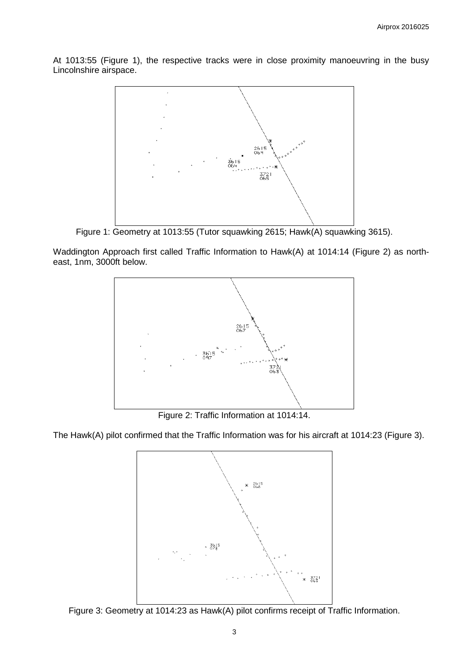At 1013:55 (Figure 1), the respective tracks were in close proximity manoeuvring in the busy Lincolnshire airspace.



Figure 1: Geometry at 1013:55 (Tutor squawking 2615; Hawk(A) squawking 3615).

Waddington Approach first called Traffic Information to Hawk(A) at 1014:14 (Figure 2) as northeast, 1nm, 3000ft below.



Figure 2: Traffic Information at 1014:14.

The Hawk(A) pilot confirmed that the Traffic Information was for his aircraft at 1014:23 (Figure 3).



Figure 3: Geometry at 1014:23 as Hawk(A) pilot confirms receipt of Traffic Information.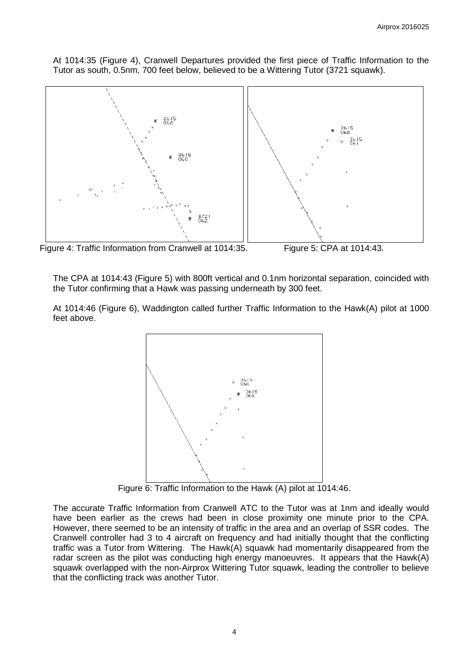At 1014:35 (Figure 4), Cranwell Departures provided the first piece of Traffic Information to the Tutor as south, 0.5nm, 700 feet below, believed to be a Wittering Tutor (3721 squawk).



Figure 4: Traffic Information from Cranwell at 1014:35. Figure 5: CPA at 1014:43.

The CPA at 1014:43 (Figure 5) with 800ft vertical and 0.1nm horizontal separation, coincided with the Tutor confirming that a Hawk was passing underneath by 300 feet.

At 1014:46 (Figure 6), Waddington called further Traffic Information to the Hawk(A) pilot at 1000 feet above.



Figure 6: Traffic Information to the Hawk (A) pilot at 1014:46.

The accurate Traffic Information from Cranwell ATC to the Tutor was at 1nm and ideally would have been earlier as the crews had been in close proximity one minute prior to the CPA. However, there seemed to be an intensity of traffic in the area and an overlap of SSR codes. The Cranwell controller had 3 to 4 aircraft on frequency and had initially thought that the conflicting traffic was a Tutor from Wittering. The Hawk(A) squawk had momentarily disappeared from the radar screen as the pilot was conducting high energy manoeuvres. It appears that the Hawk(A) squawk overlapped with the non-Airprox Wittering Tutor squawk, leading the controller to believe that the conflicting track was another Tutor.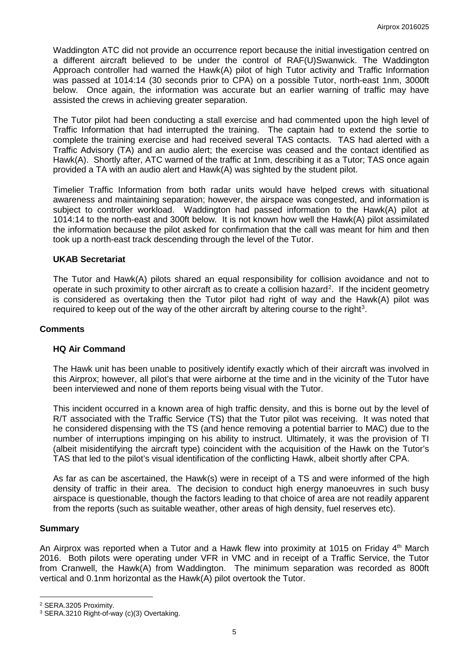Waddington ATC did not provide an occurrence report because the initial investigation centred on a different aircraft believed to be under the control of RAF(U)Swanwick. The Waddington Approach controller had warned the Hawk(A) pilot of high Tutor activity and Traffic Information was passed at 1014:14 (30 seconds prior to CPA) on a possible Tutor, north-east 1nm, 3000ft below. Once again, the information was accurate but an earlier warning of traffic may have assisted the crews in achieving greater separation.

The Tutor pilot had been conducting a stall exercise and had commented upon the high level of Traffic Information that had interrupted the training. The captain had to extend the sortie to complete the training exercise and had received several TAS contacts. TAS had alerted with a Traffic Advisory (TA) and an audio alert; the exercise was ceased and the contact identified as Hawk(A). Shortly after, ATC warned of the traffic at 1nm, describing it as a Tutor; TAS once again provided a TA with an audio alert and Hawk(A) was sighted by the student pilot.

Timelier Traffic Information from both radar units would have helped crews with situational awareness and maintaining separation; however, the airspace was congested, and information is subject to controller workload. Waddington had passed information to the Hawk(A) pilot at 1014:14 to the north-east and 300ft below. It is not known how well the Hawk(A) pilot assimilated the information because the pilot asked for confirmation that the call was meant for him and then took up a north-east track descending through the level of the Tutor.

## **UKAB Secretariat**

The Tutor and Hawk(A) pilots shared an equal responsibility for collision avoidance and not to operate in such proximity to other aircraft as to create a collision hazard<sup>[2](#page-4-0)</sup>. If the incident geometry is considered as overtaking then the Tutor pilot had right of way and the Hawk(A) pilot was required to keep out of the way of the other aircraft by altering course to the right<sup>[3](#page-4-1)</sup>.

## **Comments**

### **HQ Air Command**

The Hawk unit has been unable to positively identify exactly which of their aircraft was involved in this Airprox; however, all pilot's that were airborne at the time and in the vicinity of the Tutor have been interviewed and none of them reports being visual with the Tutor.

This incident occurred in a known area of high traffic density, and this is borne out by the level of R/T associated with the Traffic Service (TS) that the Tutor pilot was receiving. It was noted that he considered dispensing with the TS (and hence removing a potential barrier to MAC) due to the number of interruptions impinging on his ability to instruct. Ultimately, it was the provision of TI (albeit misidentifying the aircraft type) coincident with the acquisition of the Hawk on the Tutor's TAS that led to the pilot's visual identification of the conflicting Hawk, albeit shortly after CPA.

As far as can be ascertained, the Hawk(s) were in receipt of a TS and were informed of the high density of traffic in their area. The decision to conduct high energy manoeuvres in such busy airspace is questionable, though the factors leading to that choice of area are not readily apparent from the reports (such as suitable weather, other areas of high density, fuel reserves etc).

### **Summary**

l

An Airprox was reported when a Tutor and a Hawk flew into proximity at 1015 on Friday 4<sup>th</sup> March 2016. Both pilots were operating under VFR in VMC and in receipt of a Traffic Service, the Tutor from Cranwell, the Hawk(A) from Waddington. The minimum separation was recorded as 800ft vertical and 0.1nm horizontal as the Hawk(A) pilot overtook the Tutor.

<span id="page-4-0"></span><sup>2</sup> SERA.3205 Proximity.

<span id="page-4-1"></span><sup>3</sup> SERA.3210 Right-of-way (c)(3) Overtaking.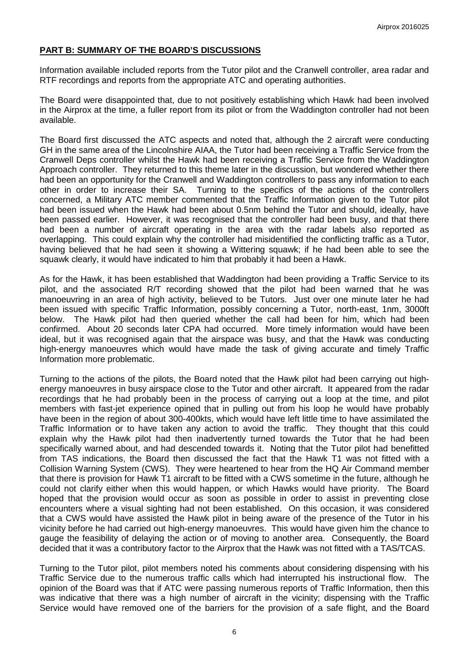# **PART B: SUMMARY OF THE BOARD'S DISCUSSIONS**

Information available included reports from the Tutor pilot and the Cranwell controller, area radar and RTF recordings and reports from the appropriate ATC and operating authorities.

The Board were disappointed that, due to not positively establishing which Hawk had been involved in the Airprox at the time, a fuller report from its pilot or from the Waddington controller had not been available.

The Board first discussed the ATC aspects and noted that, although the 2 aircraft were conducting GH in the same area of the Lincolnshire AIAA, the Tutor had been receiving a Traffic Service from the Cranwell Deps controller whilst the Hawk had been receiving a Traffic Service from the Waddington Approach controller. They returned to this theme later in the discussion, but wondered whether there had been an opportunity for the Cranwell and Waddington controllers to pass any information to each other in order to increase their SA. Turning to the specifics of the actions of the controllers concerned, a Military ATC member commented that the Traffic Information given to the Tutor pilot had been issued when the Hawk had been about 0.5nm behind the Tutor and should, ideally, have been passed earlier. However, it was recognised that the controller had been busy, and that there had been a number of aircraft operating in the area with the radar labels also reported as overlapping. This could explain why the controller had misidentified the conflicting traffic as a Tutor, having believed that he had seen it showing a Wittering squawk; if he had been able to see the squawk clearly, it would have indicated to him that probably it had been a Hawk.

As for the Hawk, it has been established that Waddington had been providing a Traffic Service to its pilot, and the associated R/T recording showed that the pilot had been warned that he was manoeuvring in an area of high activity, believed to be Tutors. Just over one minute later he had been issued with specific Traffic Information, possibly concerning a Tutor, north-east, 1nm, 3000ft below. The Hawk pilot had then queried whether the call had been for him, which had been confirmed. About 20 seconds later CPA had occurred. More timely information would have been ideal, but it was recognised again that the airspace was busy, and that the Hawk was conducting high-energy manoeuvres which would have made the task of giving accurate and timely Traffic Information more problematic.

Turning to the actions of the pilots, the Board noted that the Hawk pilot had been carrying out highenergy manoeuvres in busy airspace close to the Tutor and other aircraft. It appeared from the radar recordings that he had probably been in the process of carrying out a loop at the time, and pilot members with fast-jet experience opined that in pulling out from his loop he would have probably have been in the region of about 300-400kts, which would have left little time to have assimilated the Traffic Information or to have taken any action to avoid the traffic. They thought that this could explain why the Hawk pilot had then inadvertently turned towards the Tutor that he had been specifically warned about, and had descended towards it. Noting that the Tutor pilot had benefitted from TAS indications, the Board then discussed the fact that the Hawk T1 was not fitted with a Collision Warning System (CWS). They were heartened to hear from the HQ Air Command member that there is provision for Hawk T1 aircraft to be fitted with a CWS sometime in the future, although he could not clarify either when this would happen, or which Hawks would have priority. The Board hoped that the provision would occur as soon as possible in order to assist in preventing close encounters where a visual sighting had not been established. On this occasion, it was considered that a CWS would have assisted the Hawk pilot in being aware of the presence of the Tutor in his vicinity before he had carried out high-energy manoeuvres. This would have given him the chance to gauge the feasibility of delaying the action or of moving to another area. Consequently, the Board decided that it was a contributory factor to the Airprox that the Hawk was not fitted with a TAS/TCAS.

Turning to the Tutor pilot, pilot members noted his comments about considering dispensing with his Traffic Service due to the numerous traffic calls which had interrupted his instructional flow. The opinion of the Board was that if ATC were passing numerous reports of Traffic Information, then this was indicative that there was a high number of aircraft in the vicinity; dispensing with the Traffic Service would have removed one of the barriers for the provision of a safe flight, and the Board